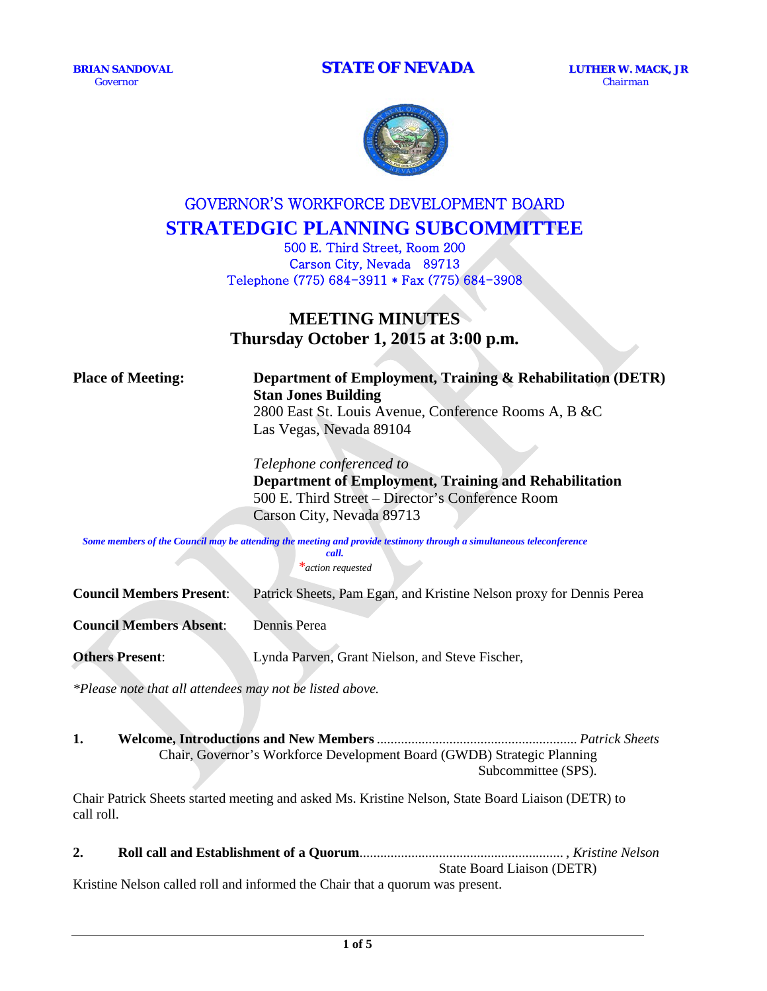

# GOVERNOR'S WORKFORCE DEVELOPMENT BOARD **STRATEDGIC PLANNING SUBCOMMITTEE**

500 E. Third Street, Room 200 Carson City, Nevada 89713 Telephone (775) 684-3911 \* Fax (775) 684-3908

# **MEETING MINUTES Thursday October 1, 2015 at 3:00 p.m.**

# **Place of Meeting: Department of Employment, Training & Rehabilitation (DETR) Stan Jones Building**

2800 East St. Louis Avenue, Conference Rooms A, B &C Las Vegas, Nevada 89104

*Telephone conferenced to*  **Department of Employment, Training and Rehabilitation** 500 E. Third Street – Director's Conference Room Carson City, Nevada 89713

*Some members of the Council may be attending the meeting and provide testimony through a simultaneous teleconference call.*

*\*action requested*

**Council Members Present**: Patrick Sheets, Pam Egan, and Kristine Nelson proxy for Dennis Perea **Council Members Absent**: Dennis Perea **Others Present**: Lynda Parven, Grant Nielson, and Steve Fischer,

*\*Please note that all attendees may not be listed above.*

#### **1. Welcome, Introductions and New Members**.......................................................... *Patrick Sheets* Chair, Governor's Workforce Development Board (GWDB) Strategic Planning Subcommittee (SPS).

Chair Patrick Sheets started meeting and asked Ms. Kristine Nelson, State Board Liaison (DETR) to call roll.

**2. Roll call and Establishment of a Quorum**........................................................... , *Kristine Nelson* State Board Liaison (DETR) Kristine Nelson called roll and informed the Chair that a quorum was present.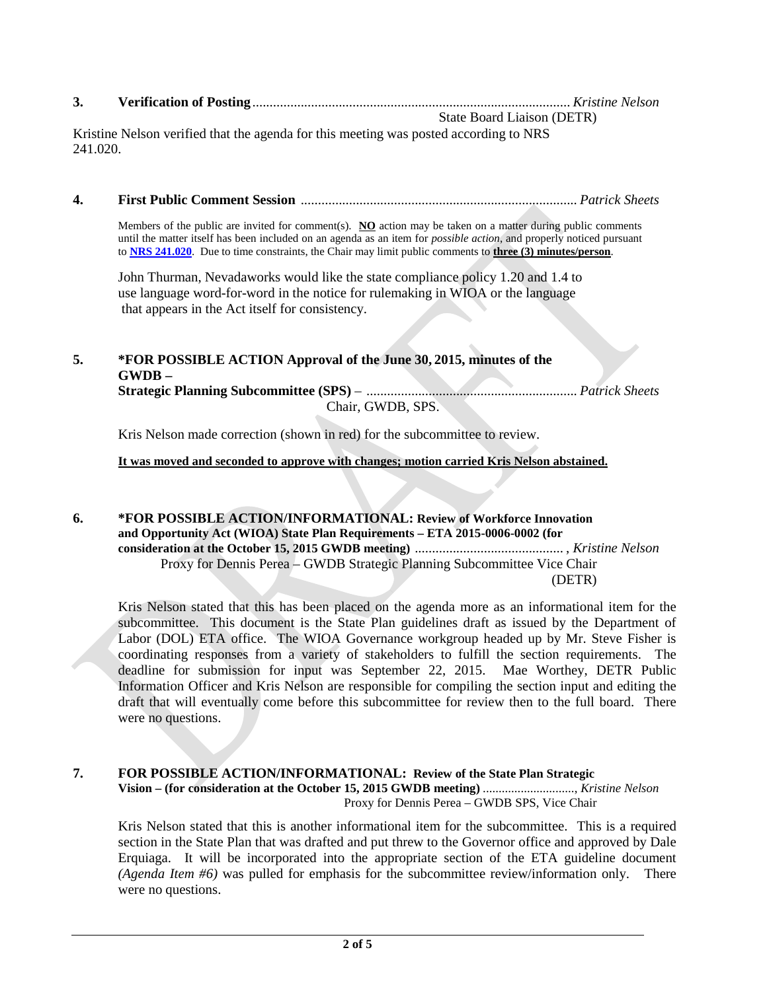| J. |  |  |
|----|--|--|
|----|--|--|

State Board Liaison (DETR) Kristine Nelson verified that the agenda for this meeting was posted according to NRS 241.020.

# **4. First Public Comment Session** ................................................................................ *Patrick Sheets*

Members of the public are invited for comment(s). **NO** action may be taken on a matter during public comments until the matter itself has been included on an agenda as an item for *possible action*, and properly noticed pursuant to **[NRS 241.020](http://www.leg.state.nv.us/NRS/NRS-241.html%23NRS241Sec020)**. Due to time constraints, the Chair may limit public comments to **three (3) minutes/person**.

John Thurman, Nevadaworks would like the state compliance policy 1.20 and 1.4 to use language word-for-word in the notice for rulemaking in WIOA or the language that appears in the Act itself for consistency.

# **5. \*FOR POSSIBLE ACTION Approval of the June 30, 2015, minutes of the GWDB –**

**Strategic Planning Subcommittee (SPS)** – ............................................................. *Patrick Sheets* Chair, GWDB, SPS.

Kris Nelson made correction (shown in red) for the subcommittee to review.

# **It was moved and seconded to approve with changes; motion carried Kris Nelson abstained.**

### **6. \*FOR POSSIBLE ACTION/INFORMATIONAL: Review of Workforce Innovation and Opportunity Act (WIOA) State Plan Requirements – ETA 2015-0006-0002 (for consideration at the October 15, 2015 GWDB meeting)** ........................................... , *Kristine Nelson* Proxy for Dennis Perea – GWDB Strategic Planning Subcommittee Vice Chair (DETR)

Kris Nelson stated that this has been placed on the agenda more as an informational item for the subcommittee. This document is the State Plan guidelines draft as issued by the Department of Labor (DOL) ETA office. The WIOA Governance workgroup headed up by Mr. Steve Fisher is coordinating responses from a variety of stakeholders to fulfill the section requirements. The deadline for submission for input was September 22, 2015. Mae Worthey, DETR Public Information Officer and Kris Nelson are responsible for compiling the section input and editing the draft that will eventually come before this subcommittee for review then to the full board. There were no questions.

#### **7. FOR POSSIBLE ACTION/INFORMATIONAL: Review of the State Plan Strategic Vision – (for consideration at the October 15, 2015 GWDB meeting)** ............................., *Kristine Nelson* Proxy for Dennis Perea – GWDB SPS, Vice Chair

Kris Nelson stated that this is another informational item for the subcommittee. This is a required section in the State Plan that was drafted and put threw to the Governor office and approved by Dale Erquiaga. It will be incorporated into the appropriate section of the ETA guideline document *(Agenda Item #6)* was pulled for emphasis for the subcommittee review/information only. There were no questions.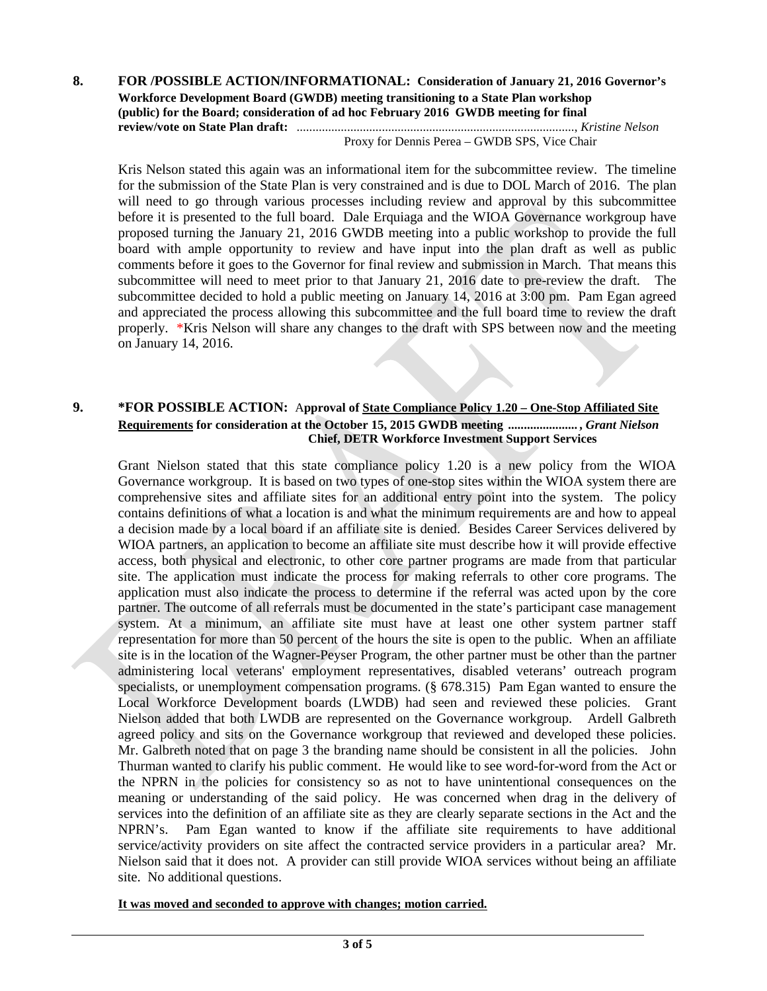#### **8. FOR /POSSIBLE ACTION/INFORMATIONAL: Consideration of January 21, 2016 Governor's Workforce Development Board (GWDB) meeting transitioning to a State Plan workshop (public) for the Board; consideration of ad hoc February 2016 GWDB meeting for final review/vote on State Plan draft:** ........................................................................................, *Kristine Nelson* Proxy for Dennis Perea – GWDB SPS, Vice Chair

Kris Nelson stated this again was an informational item for the subcommittee review. The timeline for the submission of the State Plan is very constrained and is due to DOL March of 2016. The plan will need to go through various processes including review and approval by this subcommittee before it is presented to the full board. Dale Erquiaga and the WIOA Governance workgroup have proposed turning the January 21, 2016 GWDB meeting into a public workshop to provide the full board with ample opportunity to review and have input into the plan draft as well as public comments before it goes to the Governor for final review and submission in March. That means this subcommittee will need to meet prior to that January 21, 2016 date to pre-review the draft. The subcommittee decided to hold a public meeting on January 14, 2016 at 3:00 pm. Pam Egan agreed and appreciated the process allowing this subcommittee and the full board time to review the draft properly. \*Kris Nelson will share any changes to the draft with SPS between now and the meeting on January 14, 2016.

### **9. \*FOR POSSIBLE ACTION:** A**pproval of State Compliance Policy 1.20 – One-Stop Affiliated Site Requirements for consideration at the October 15, 2015 GWDB meeting ...................... ,** *Grant Nielson* **Chief, DETR Workforce Investment Support Services**

Grant Nielson stated that this state compliance policy 1.20 is a new policy from the WIOA Governance workgroup. It is based on two types of one-stop sites within the WIOA system there are comprehensive sites and affiliate sites for an additional entry point into the system. The policy contains definitions of what a location is and what the minimum requirements are and how to appeal a decision made by a local board if an affiliate site is denied. Besides Career Services delivered by WIOA partners, an application to become an affiliate site must describe how it will provide effective access, both physical and electronic, to other core partner programs are made from that particular site. The application must indicate the process for making referrals to other core programs. The application must also indicate the process to determine if the referral was acted upon by the core partner. The outcome of all referrals must be documented in the state's participant case management system. At a minimum, an affiliate site must have at least one other system partner staff representation for more than 50 percent of the hours the site is open to the public. When an affiliate site is in the location of the Wagner-Peyser Program, the other partner must be other than the partner administering local veterans' employment representatives, disabled veterans' outreach program specialists, or unemployment compensation programs. (§ 678.315) Pam Egan wanted to ensure the Local Workforce Development boards (LWDB) had seen and reviewed these policies. Grant Nielson added that both LWDB are represented on the Governance workgroup. Ardell Galbreth agreed policy and sits on the Governance workgroup that reviewed and developed these policies. Mr. Galbreth noted that on page 3 the branding name should be consistent in all the policies. John Thurman wanted to clarify his public comment. He would like to see word-for-word from the Act or the NPRN in the policies for consistency so as not to have unintentional consequences on the meaning or understanding of the said policy. He was concerned when drag in the delivery of services into the definition of an affiliate site as they are clearly separate sections in the Act and the NPRN's. Pam Egan wanted to know if the affiliate site requirements to have additional service/activity providers on site affect the contracted service providers in a particular area? Mr. Nielson said that it does not. A provider can still provide WIOA services without being an affiliate site. No additional questions.

**It was moved and seconded to approve with changes; motion carried.**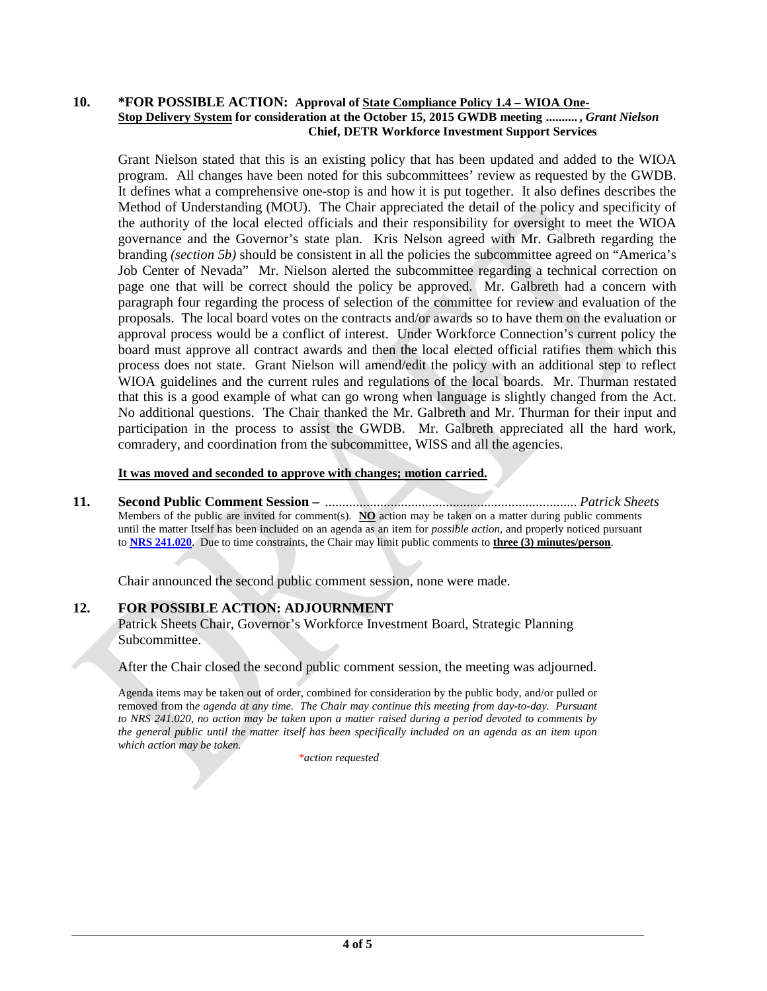#### **10. \*FOR POSSIBLE ACTION: Approval of State Compliance Policy 1.4 – WIOA One-Stop Delivery System for consideration at the October 15, 2015 GWDB meeting .......... ,** *Grant Nielson* **Chief, DETR Workforce Investment Support Services**

Grant Nielson stated that this is an existing policy that has been updated and added to the WIOA program. All changes have been noted for this subcommittees' review as requested by the GWDB. It defines what a comprehensive one-stop is and how it is put together. It also defines describes the Method of Understanding (MOU). The Chair appreciated the detail of the policy and specificity of the authority of the local elected officials and their responsibility for oversight to meet the WIOA governance and the Governor's state plan. Kris Nelson agreed with Mr. Galbreth regarding the branding *(section 5b)* should be consistent in all the policies the subcommittee agreed on "America's Job Center of Nevada" Mr. Nielson alerted the subcommittee regarding a technical correction on page one that will be correct should the policy be approved. Mr. Galbreth had a concern with paragraph four regarding the process of selection of the committee for review and evaluation of the proposals. The local board votes on the contracts and/or awards so to have them on the evaluation or approval process would be a conflict of interest. Under Workforce Connection's current policy the board must approve all contract awards and then the local elected official ratifies them which this process does not state. Grant Nielson will amend/edit the policy with an additional step to reflect WIOA guidelines and the current rules and regulations of the local boards. Mr. Thurman restated that this is a good example of what can go wrong when language is slightly changed from the Act. No additional questions. The Chair thanked the Mr. Galbreth and Mr. Thurman for their input and participation in the process to assist the GWDB. Mr. Galbreth appreciated all the hard work, comradery, and coordination from the subcommittee, WISS and all the agencies.

#### **It was moved and seconded to approve with changes; motion carried.**

**11. Second Public Comment Session –** ......................................................................... *Patrick Sheets* Members of the public are invited for comment(s). **NO** action may be taken on a matter during public comments until the matter Itself has been included on an agenda as an item for *possible action*, and properly noticed pursuant to **[NRS 241.020](http://www.leg.state.nv.us/NRS/NRS-241.html%23NRS241Sec020)**. Due to time constraints, the Chair may limit public comments to **three (3) minutes/person**.

Chair announced the second public comment session, none were made.

# **12. FOR POSSIBLE ACTION: ADJOURNMENT**

Patrick Sheets Chair, Governor's Workforce Investment Board, Strategic Planning Subcommittee.

After the Chair closed the second public comment session, the meeting was adjourned.

Agenda items may be taken out of order, combined for consideration by the public body, and/or pulled or removed from th*e agenda at any time. The Chair may continue this meeting from day-to-day. Pursuant to NRS 241.020, no action may be taken upon a matter raised during a period devoted to comments by the general public until the matter itself has been specifically included on an agenda as an item upon which action may be taken.*

*\*action requested*